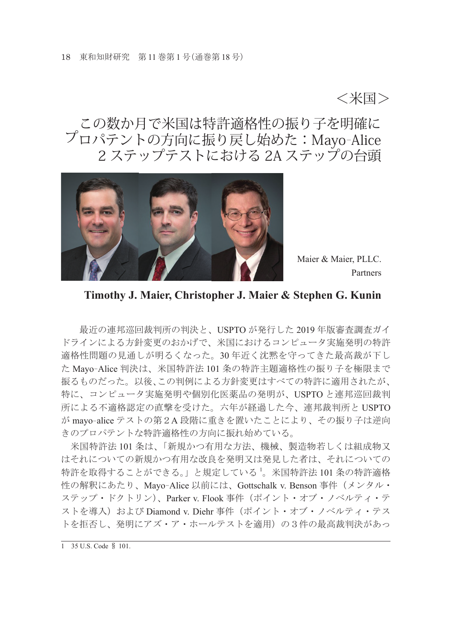<米国>

# この数か月で米国は特許適格性の振り子を明確に プロパテントの方向に振り戻し始めた:Mayo-Alice 2 ステップテストにおける 2A ステップの台頭



Maier & Maier, PLLC. Partners

#### **Timothy J. Maier, Christopher J. Maier & Stephen G. Kunin**

 最近の連邦巡回裁判所の判決と、USPTO が発行した 2019 年版審査調査ガイ ドラインによる方針変更のおかげで、米国におけるコンピュータ実施発明の特許 適格性問題の見通しが明るくなった。30 年近く沈黙を守ってきた最高裁が下し <sup>た</sup> Mayo-Alice 判決は、米国特許法 101 条の特許主題適格性の振り子を極限まで 振るものだった。以後、この判例による方針変更はすべての特許に適用されたが、 特に、コンピュータ実施発明や個別化医薬品の発明が、USPTO と連邦巡回裁判 所による不適格認定の直撃を受けた。六年が経過した今、連邦裁判所と USPTO <sup>が</sup> mayo-alice テストの第2A 段階に重きを置いたことにより、その振り子は逆向 きのプロパテントな特許適格性の方向に振れ始めている。

 米国特許法 101 条は、「新規かつ有用な方法、機械、製造物若しくは組成物又 はそれについての新規かつ有用な改良を発明又は発見した者は、それについての 特許を取得することができる。」と規定している <sup>1</sup> 。米国特許法 101 条の特許適格 性の解釈にあたり、Mayo-Alice 以前には、Gottschalk v. Benson 事件(メンタル・ ステップ・ドクトリン)、Parker v. Flook 事件(ポイント・オブ・ノベルティ・テ ストを導入) および Diamond v. Diehr 事件(ポイント・オブ・ノベルティ・テス トを拒否し、発明にアズ・ア・ホールテストを適用)の3件の最高裁判決があっ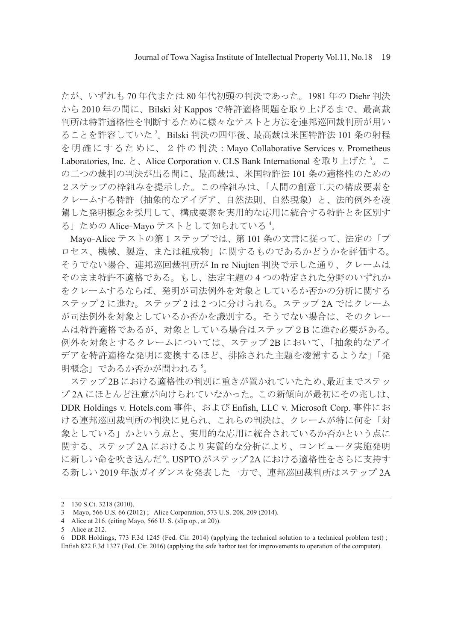たが、いずれも 70 年代または 80 年代初頭の判決であった。1981 年の Diehr 判決 から 2010 年の間に、Bilski 対 Kappos で特許適格問題を取り上げるまで、最高裁 判所は特許適格性を判断するために様々なテストと方法を連邦巡回裁判所が用い ることを許容していた <sup>2</sup> 。Bilski 判決の四年後、最高裁は米国特許法 101 条の射程 を明確にするために、2件の判決:Mayo Collaborative Services v. Prometheus Laboratories, Inc. と、Alice Corporation v. CLS Bank International を取り上げた <sup>3</sup> 。こ の二つの裁判の判決が出る間に、最高裁は、米国特許法 101 条の適格性のための 2ステップの枠組みを提示した。この枠組みは、「人間の創意工夫の構成要素を クレームする特許(抽象的なアイデア、自然法則、自然現象)と、法的例外を凌 駕した発明概念を採用して、構成要素を実用的な応用に統合する特許とを区別す る」ための Alice-Mayo テストとして知られている <sup>4</sup> 。

Mayo-Alice テストの第 1 ステップでは、第 101 条の文言に従って、法定の「プ ロセス、機械、製造、または組成物」に関するものであるかどうかを評価する。 そうでない場合、連邦巡回裁判所が In re Niujten 判決で示した通り、クレームは そのまま特許不適格である。もし、法定主題の 4 つの特定された分野のいずれか をクレームするならば、発明が司法例外を対象としているか否かの分析に関する ステップ 2 に進む。ステップ 2 は 2 つに分けられる。ステップ 2A ではクレーム が司法例外を対象としているか否かを識別する。そうでない場合は、そのクレー ムは特許適格であるが、対象としている場合はステップ2B に進む必要がある。 例外を対象とするクレームについては、ステップ 2B において、「抽象的なアイ デアを特許適格な発明に変換するほど、排除された主題を凌駕するような」「発 明概念」であるか否かが問われる <sup>5</sup>。

 ステップ 2Bにおける適格性の判別に重きが置かれていたため、最近までステッ プ 2A にほとんど注意が向けられていなかった。この新傾向が最初にその兆しは、 DDR Holdings v. Hotels.com 事件、および Enfish, LLC v. Microsoft Corp. 事件にお ける連邦巡回裁判所の判決に見られ、これらの判決は、クレームが特に何を「対 象としている」かという点と、実用的な応用に統合されているか否かという点に 関する、ステップ 2A におけるより実質的な分析により、コンピュータ実施発明 に新しい命を吹き込んだ<sup>6</sup>。USPTO がステップ 2A における適格性をさらに支持す る新しい 2019 年版ガイダンスを発表した一方で、連邦巡回裁判所はステップ 2A

<sup>2</sup> 130 S.Ct. 3218 (2010).

<sup>3</sup> Mayo, 566 U.S. 66 (2012) ; Alice Corporation, 573 U.S. 208, 209 (2014).

<sup>4</sup> Alice at 216. (citing Mayo, 566 U. S. (slip op., at 20)).

<sup>5</sup> Alice at 212.

<sup>6</sup> DDR Holdings, 773 F.3d 1245 (Fed. Cir. 2014) (applying the technical solution to a technical problem test) ; Enfish 822 F.3d 1327 (Fed. Cir. 2016) (applying the safe harbor test for improvements to operation of the computer).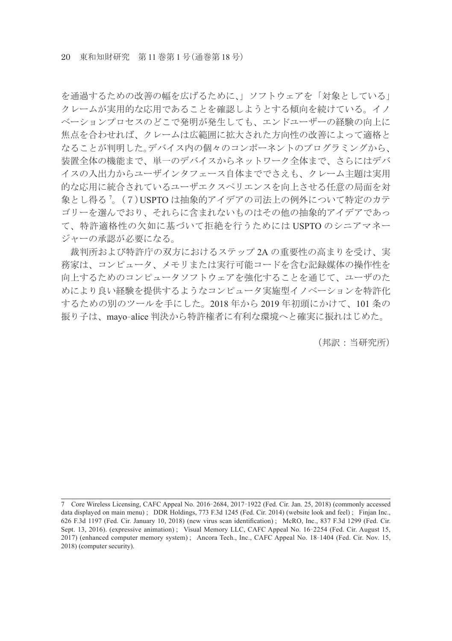を通過するための改善の幅を広げるために、」ソフトウェアを「対象としている」 クレームが実用的な応用であることを確認しようとする傾向を続けている。イノ ベーションプロセスのどこで発明が発生しても、エンドユーザーの経験の向上に 焦点を合わせれば、クレームは広範囲に拡大された方向性の改善によって適格と なることが判明した。デバイス内の個々のコンポーネントのプログラミングから、 装置全体の機能まで、単一のデバイスからネットワーク全体まで、さらにはデバ イスの入出力からユーザインタフェース自体まででさえも、クレーム主題は実用 的な応用に統合されているユーザエクスペリエンスを向上させる任意の局面を対 象とし得る <sup>7</sup> 。(7)USPTO は抽象的アイデアの司法上の例外について特定のカテ ゴリーを選んでおり、それらに含まれないものはその他の抽象的アイデアであっ て、特許適格性の欠如に基づいて拒絶を行うためには USPTO のシニアマネー ジャーの承認が必要になる。

 裁判所および特許庁の双方におけるステップ 2A の重要性の高まりを受け、実 務家は、コンピュータ、メモリまたは実行可能コードを含む記録媒体の操作性を 向上するためのコンピュータソフトウェアを強化することを通じて、ユーザのた めにより良い経験を提供するようなコンピュータ実施型イノベーションを特許化 するための別のツールを手にした。2018 年から 2019 年初頭にかけて、101 条の 振り子は、mayo-alice 判決から特許権者に有利な環境へと確実に振れはじめた。

(邦訳:当研究所)

<sup>7</sup> Core Wireless Licensing, CAFC Appeal No. 2016- 2684, 2017- 1922 (Fed. Cir. Jan. 25, 2018) (commonly accessed data displayed on main menu) ; DDR Holdings, 773 F.3d 1245 (Fed. Cir. 2014) (website look and feel) ; Finjan Inc., 626 F.3d 1197 (Fed. Cir. January 10, 2018) (new virus scan identification) ; McRO, Inc., 837 F.3d 1299 (Fed. Cir. Sept. 13, 2016). (expressive animation) ; Visual Memory LLC, CAFC Appeal No. 16- 2254 (Fed. Cir. August 15, 2017) (enhanced computer memory system) ; Ancora Tech., Inc., CAFC Appeal No. 18- 1404 (Fed. Cir. Nov. 15, 2018) (computer security).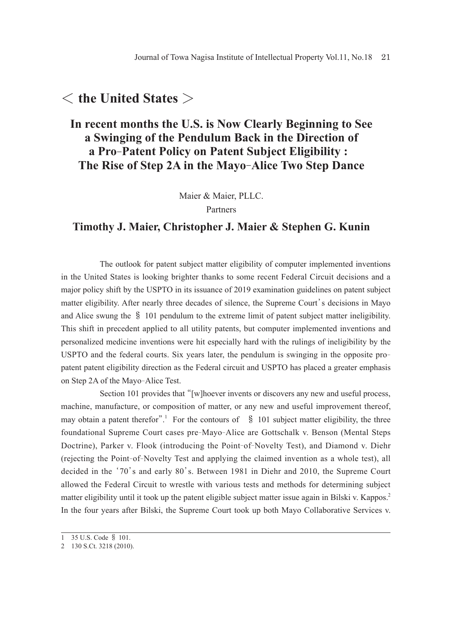## < **the United States** >

### **In recent months the U.S. is Now Clearly Beginning to See a Swinging of the Pendulum Back in the Direction of a Pro-Patent Policy on Patent Subject Eligibility : The Rise of Step 2A in the Mayo-Alice Two Step Dance**

Maier & Maier, PLLC.

Partners

#### **Timothy J. Maier, Christopher J. Maier & Stephen G. Kunin**

 The outlook for patent subject matter eligibility of computer implemented inventions in the United States is looking brighter thanks to some recent Federal Circuit decisions and a major policy shift by the USPTO in its issuance of 2019 examination guidelines on patent subject matter eligibility. After nearly three decades of silence, the Supreme Court's decisions in Mayo and Alice swung the § 101 pendulum to the extreme limit of patent subject matter ineligibility. This shift in precedent applied to all utility patents, but computer implemented inventions and personalized medicine inventions were hit especially hard with the rulings of ineligibility by the USPTO and the federal courts. Six years later, the pendulum is swinging in the opposite propatent patent eligibility direction as the Federal circuit and USPTO has placed a greater emphasis on Step 2A of the Mayo-Alice Test.

 Section 101 provides that "[w]hoever invents or discovers any new and useful process, machine, manufacture, or composition of matter, or any new and useful improvement thereof, may obtain a patent therefor".<sup>1</sup> For the contours of  $\$$  101 subject matter eligibility, the three foundational Supreme Court cases pre-Mayo-Alice are Gottschalk v. Benson (Mental Steps Doctrine), Parker v. Flook (introducing the Point-of-Novelty Test), and Diamond v. Diehr (rejecting the Point-of-Novelty Test and applying the claimed invention as a whole test), all decided in the '70's and early 80's. Between 1981 in Diehr and 2010, the Supreme Court allowed the Federal Circuit to wrestle with various tests and methods for determining subject matter eligibility until it took up the patent eligible subject matter issue again in Bilski v. Kappos.<sup>2</sup> In the four years after Bilski, the Supreme Court took up both Mayo Collaborative Services v.

<sup>1</sup> 35 U.S. Code § 101.

<sup>2</sup> 130 S.Ct. 3218 (2010).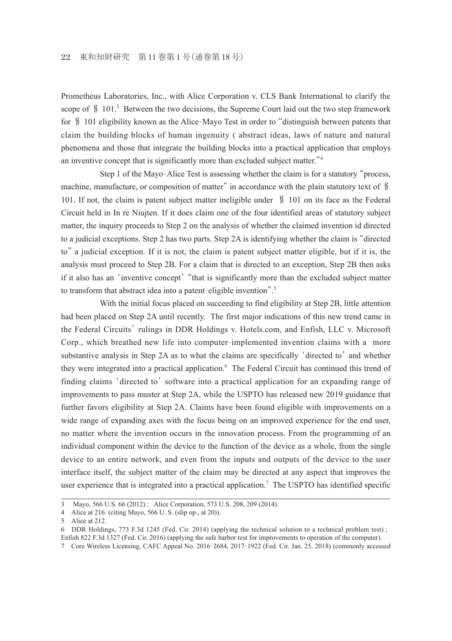Prometheus Laboratories, Inc., with Alice Corporation v. CLS Bank International to clarify the scope of  $\S$  101.<sup>3</sup> Between the two decisions, the Supreme Court laid out the two step framework for § 101 eligibility known as the Alice-Mayo Test in order to "distinguish between patents that claim the building blocks of human ingenuity ( abstract ideas, laws of nature and natural phenomena and those that integrate the building blocks into a practical application that employs an inventive concept that is significantly more than excluded subject matter."<sup>4</sup>

 Step 1 of the Mayo-Alice Test is assessing whether the claim is for a statutory "process, machine, manufacture, or composition of matter" in accordance with the plain statutory text of § 101. If not, the claim is patent subject matter ineligible under § 101 on its face as the Federal Circuit held in In re Niujten. If it does claim one of the four identified areas of statutory subject matter, the inquiry proceeds to Step 2 on the analysis of whether the claimed invention id directed to a judicial exceptions. Step 2 has two parts. Step 2A is identifying whether the claim is "directed to" a judicial exception. If it is not, the claim is patent subject matter eligible, but if it is, the analysis must proceed to Step 2B. For a claim that is directed to an exception, Step 2B then asks if it also has an 'inventive concept'"that is significantly more than the excluded subject matter to transform that abstract idea into a patent-eligible invention".<sup>5</sup>

With the initial focus placed on succeeding to find eligibility at Step 2B, little attention had been placed on Step 2A until recently. The first major indications of this new trend came in the Federal Circuits' rulings in DDR Holdings v. Hotels.com, and Enfish, LLC v. Microsoft Corp., which breathed new life into computer-implemented invention claims with a more substantive analysis in Step 2A as to what the claims are specifically 'directed to' and whether they were integrated into a practical application.<sup>6</sup> The Federal Circuit has continued this trend of finding claims 'directed to' software into a practical application for an expanding range of improvements to pass muster at Step 2A, while the USPTO has released new 2019 guidance that further favors eligibility at Step 2A. Claims have been found eligible with improvements on a wide range of expanding axes with the focus being on an improved experience for the end user, no matter where the invention occurs in the innovation process. From the programming of an individual component within the device to the function of the device as a whole, from the single device to an entire network, and even from the inputs and outputs of the device to the user interface itself, the subject matter of the claim may be directed at any aspect that improves the user experience that is integrated into a practical application.<sup>7</sup> The USPTO has identified specific

<sup>3</sup> Mayo, 566 U.S. 66 (2012) ; Alice Corporation, 573 U.S. 208, 209 (2014).

<sup>4</sup> Alice at 216. (citing Mayo, 566 U. S. (slip op., at 20)).

<sup>5</sup> Alice at 212.

<sup>6</sup> DDR Holdings, 773 F.3d 1245 (Fed. Cir. 2014) (applying the technical solution to a technical problem test) ; Enfish 822 F.3d 1327 (Fed. Cir. 2016) (applying the safe harbor test for improvements to operation of the computer).

<sup>7</sup> Core Wireless Licensing, CAFC Appeal No. 2016- 2684, 2017- 1922 (Fed. Cir. Jan. 25, 2018) (commonly accessed